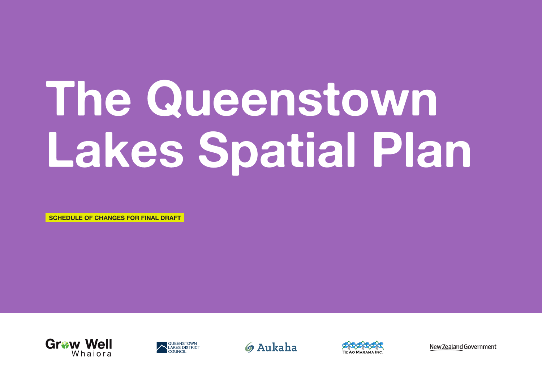## **The Queenstown Lakes Spatial Plan**

SCHEDULE OF CHANGES FOR FINAL DRAFT









New Zealand Government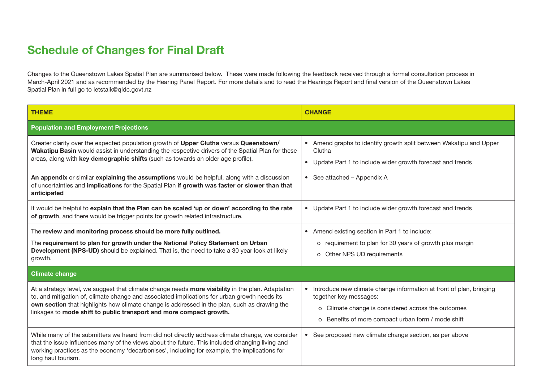## Schedule of Changes for Final Draft

Changes to the Queenstown Lakes Spatial Plan are summarised below. These were made following the feedback received through a formal consultation process in March-April 2021 and as recommended by the Hearing Panel Report. For more details and to read the Hearings Report and final version of the Queenstown Lakes Spatial Plan in full go to letstalk@qldc.govt.nz

| <b>THEME</b>                                                                                                                                                                                                                                                                                                                                                             | <b>CHANGE</b>                                                                                                                                                                                               |  |
|--------------------------------------------------------------------------------------------------------------------------------------------------------------------------------------------------------------------------------------------------------------------------------------------------------------------------------------------------------------------------|-------------------------------------------------------------------------------------------------------------------------------------------------------------------------------------------------------------|--|
| <b>Population and Employment Projections</b>                                                                                                                                                                                                                                                                                                                             |                                                                                                                                                                                                             |  |
| Greater clarity over the expected population growth of Upper Clutha versus Queenstown/<br>Wakatipu Basin would assist in understanding the respective drivers of the Spatial Plan for these<br>areas, along with key demographic shifts (such as towards an older age profile).                                                                                          | • Amend graphs to identify growth split between Wakatipu and Upper<br>Clutha<br>• Update Part 1 to include wider growth forecast and trends                                                                 |  |
| An appendix or similar explaining the assumptions would be helpful, along with a discussion<br>of uncertainties and implications for the Spatial Plan if growth was faster or slower than that<br>anticipated                                                                                                                                                            | • See attached - Appendix A                                                                                                                                                                                 |  |
| It would be helpful to explain that the Plan can be scaled 'up or down' according to the rate<br>of growth, and there would be trigger points for growth related infrastructure.                                                                                                                                                                                         | • Update Part 1 to include wider growth forecast and trends                                                                                                                                                 |  |
| The review and monitoring process should be more fully outlined.                                                                                                                                                                                                                                                                                                         | • Amend existing section in Part 1 to include:                                                                                                                                                              |  |
| The requirement to plan for growth under the National Policy Statement on Urban<br>Development (NPS-UD) should be explained. That is, the need to take a 30 year look at likely<br>growth.                                                                                                                                                                               | o requirement to plan for 30 years of growth plus margin<br>o Other NPS UD requirements                                                                                                                     |  |
| <b>Climate change</b>                                                                                                                                                                                                                                                                                                                                                    |                                                                                                                                                                                                             |  |
| At a strategy level, we suggest that climate change needs more visibility in the plan. Adaptation<br>to, and mitigation of, climate change and associated implications for urban growth needs its<br>own section that highlights how climate change is addressed in the plan, such as drawing the<br>linkages to mode shift to public transport and more compact growth. | • Introduce new climate change information at front of plan, bringing<br>together key messages:<br>o Climate change is considered across the outcomes<br>o Benefits of more compact urban form / mode shift |  |
| While many of the submitters we heard from did not directly address climate change, we consider<br>that the issue influences many of the views about the future. This included changing living and<br>working practices as the economy 'decarbonises', including for example, the implications for<br>long haul tourism.                                                 | • See proposed new climate change section, as per above                                                                                                                                                     |  |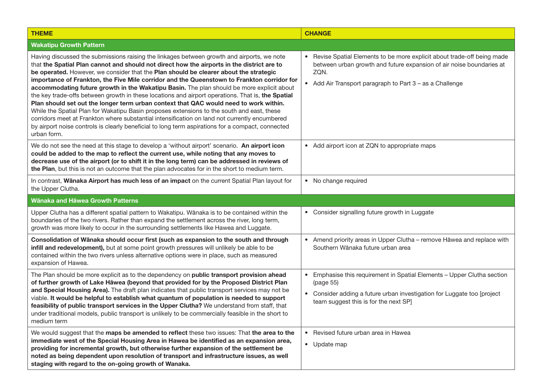| <b>THEME</b>                                                                                                                                                                                                                                                                                                                                                                                                                                                                                                                                                                                                                                                                                                                                                                                                                                                                                                                                                                                  | <b>CHANGE</b>                                                                                                                                                                                                                  |
|-----------------------------------------------------------------------------------------------------------------------------------------------------------------------------------------------------------------------------------------------------------------------------------------------------------------------------------------------------------------------------------------------------------------------------------------------------------------------------------------------------------------------------------------------------------------------------------------------------------------------------------------------------------------------------------------------------------------------------------------------------------------------------------------------------------------------------------------------------------------------------------------------------------------------------------------------------------------------------------------------|--------------------------------------------------------------------------------------------------------------------------------------------------------------------------------------------------------------------------------|
| <b>Wakatipu Growth Pattern</b>                                                                                                                                                                                                                                                                                                                                                                                                                                                                                                                                                                                                                                                                                                                                                                                                                                                                                                                                                                |                                                                                                                                                                                                                                |
| Having discussed the submissions raising the linkages between growth and airports, we note<br>that the Spatial Plan cannot and should not direct how the airports in the district are to<br>be operated. However, we consider that the Plan should be clearer about the strategic<br>importance of Frankton, the Five Mile corridor and the Queenstown to Frankton corridor for<br>accommodating future growth in the Wakatipu Basin. The plan should be more explicit about<br>the key trade-offs between growth in these locations and airport operations. That is, the Spatial<br>Plan should set out the longer term urban context that QAC would need to work within.<br>While the Spatial Plan for Wakatipu Basin proposes extensions to the south and east, these<br>corridors meet at Frankton where substantial intensification on land not currently encumbered<br>by airport noise controls is clearly beneficial to long term aspirations for a compact, connected<br>urban form. | • Revise Spatial Elements to be more explicit about trade-off being made<br>between urban growth and future expansion of air noise boundaries at<br>ZQN.<br>• Add Air Transport paragraph to Part 3 - as a Challenge           |
| We do not see the need at this stage to develop a 'without airport' scenario. An airport icon<br>could be added to the map to reflect the current use, while noting that any moves to<br>decrease use of the airport (or to shift it in the long term) can be addressed in reviews of<br>the Plan, but this is not an outcome that the plan advocates for in the short to medium term.                                                                                                                                                                                                                                                                                                                                                                                                                                                                                                                                                                                                        | • Add airport icon at ZQN to appropriate maps                                                                                                                                                                                  |
| In contrast, Wānaka Airport has much less of an impact on the current Spatial Plan layout for<br>the Upper Clutha.                                                                                                                                                                                                                                                                                                                                                                                                                                                                                                                                                                                                                                                                                                                                                                                                                                                                            | • No change required                                                                                                                                                                                                           |
| Wānaka and Hāwea Growth Patterns                                                                                                                                                                                                                                                                                                                                                                                                                                                                                                                                                                                                                                                                                                                                                                                                                                                                                                                                                              |                                                                                                                                                                                                                                |
| Upper Clutha has a different spatial pattern to Wakatipu. Wānaka is to be contained within the<br>boundaries of the two rivers. Rather than expand the settlement across the river, long term,<br>growth was more likely to occur in the surrounding settlements like Hawea and Luggate.                                                                                                                                                                                                                                                                                                                                                                                                                                                                                                                                                                                                                                                                                                      | • Consider signalling future growth in Luggate                                                                                                                                                                                 |
| Consolidation of Wānaka should occur first (such as expansion to the south and through<br>infill and redevelopment), but at some point growth pressures will unlikely be able to be<br>contained within the two rivers unless alternative options were in place, such as measured<br>expansion of Hawea.                                                                                                                                                                                                                                                                                                                                                                                                                                                                                                                                                                                                                                                                                      | • Amend priority areas in Upper Clutha - remove Hawea and replace with<br>Southern Wānaka future urban area                                                                                                                    |
| The Plan should be more explicit as to the dependency on public transport provision ahead<br>of further growth of Lake Hawea (beyond that provided for by the Proposed District Plan<br>and Special Housing Area). The draft plan indicates that public transport services may not be<br>viable. It would be helpful to establish what quantum of population is needed to support<br>feasibility of public transport services in the Upper Clutha? We understand from staff, that<br>under traditional models, public transport is unlikely to be commercially feasible in the short to<br>medium term                                                                                                                                                                                                                                                                                                                                                                                        | Emphasise this requirement in Spatial Elements - Upper Clutha section<br>$\bullet$<br>(page 55)<br>Consider adding a future urban investigation for Luggate too [project<br>$\bullet$<br>team suggest this is for the next SP] |
| We would suggest that the maps be amended to reflect these two issues: That the area to the<br>immediate west of the Special Housing Area in Hawea be identified as an expansion area,<br>providing for incremental growth, but otherwise further expansion of the settlement be<br>noted as being dependent upon resolution of transport and infrastructure issues, as well<br>staging with regard to the on-going growth of Wanaka.                                                                                                                                                                                                                                                                                                                                                                                                                                                                                                                                                         | • Revised future urban area in Hawea<br>• Update map                                                                                                                                                                           |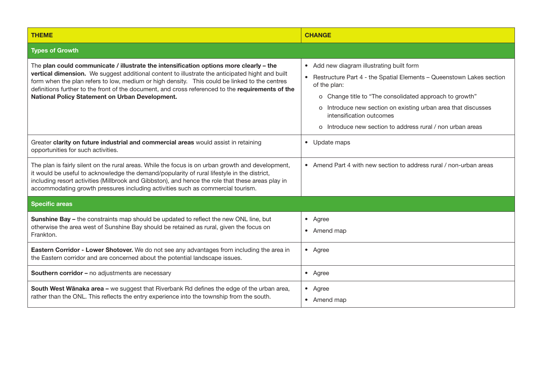| <b>THEME</b>                                                                                                                                                                                                                                                                                                                                                                                                                                        | <b>CHANGE</b>                                                                                                                                                                                                                                                                                                                                             |
|-----------------------------------------------------------------------------------------------------------------------------------------------------------------------------------------------------------------------------------------------------------------------------------------------------------------------------------------------------------------------------------------------------------------------------------------------------|-----------------------------------------------------------------------------------------------------------------------------------------------------------------------------------------------------------------------------------------------------------------------------------------------------------------------------------------------------------|
| <b>Types of Growth</b>                                                                                                                                                                                                                                                                                                                                                                                                                              |                                                                                                                                                                                                                                                                                                                                                           |
| The plan could communicate / illustrate the intensification options more clearly - the<br>vertical dimension. We suggest additional content to illustrate the anticipated hight and built<br>form when the plan refers to low, medium or high density.  This could be linked to the centres<br>definitions further to the front of the document, and cross referenced to the requirements of the<br>National Policy Statement on Urban Development. | • Add new diagram illustrating built form<br>• Restructure Part 4 - the Spatial Elements - Queenstown Lakes section<br>of the plan:<br>o Change title to "The consolidated approach to growth"<br>o Introduce new section on existing urban area that discusses<br>intensification outcomes<br>o Introduce new section to address rural / non urban areas |
| Greater clarity on future industrial and commercial areas would assist in retaining<br>opportunities for such activities.                                                                                                                                                                                                                                                                                                                           | • Update maps                                                                                                                                                                                                                                                                                                                                             |
| The plan is fairly silent on the rural areas. While the focus is on urban growth and development,<br>it would be useful to acknowledge the demand/popularity of rural lifestyle in the district,<br>including resort activities (Millbrook and Gibbston), and hence the role that these areas play in<br>accommodating growth pressures including activities such as commercial tourism.                                                            | • Amend Part 4 with new section to address rural / non-urban areas                                                                                                                                                                                                                                                                                        |
| <b>Specific areas</b>                                                                                                                                                                                                                                                                                                                                                                                                                               |                                                                                                                                                                                                                                                                                                                                                           |
| Sunshine Bay - the constraints map should be updated to reflect the new ONL line, but<br>otherwise the area west of Sunshine Bay should be retained as rural, given the focus on<br>Frankton.                                                                                                                                                                                                                                                       | • Agree<br>• Amend map                                                                                                                                                                                                                                                                                                                                    |
| Eastern Corridor - Lower Shotover. We do not see any advantages from including the area in<br>the Eastern corridor and are concerned about the potential landscape issues.                                                                                                                                                                                                                                                                          | • Agree                                                                                                                                                                                                                                                                                                                                                   |
| Southern corridor - no adjustments are necessary                                                                                                                                                                                                                                                                                                                                                                                                    | • Agree                                                                                                                                                                                                                                                                                                                                                   |
| South West Wānaka area - we suggest that Riverbank Rd defines the edge of the urban area,<br>rather than the ONL. This reflects the entry experience into the township from the south.                                                                                                                                                                                                                                                              | • Agree<br>• Amend map                                                                                                                                                                                                                                                                                                                                    |